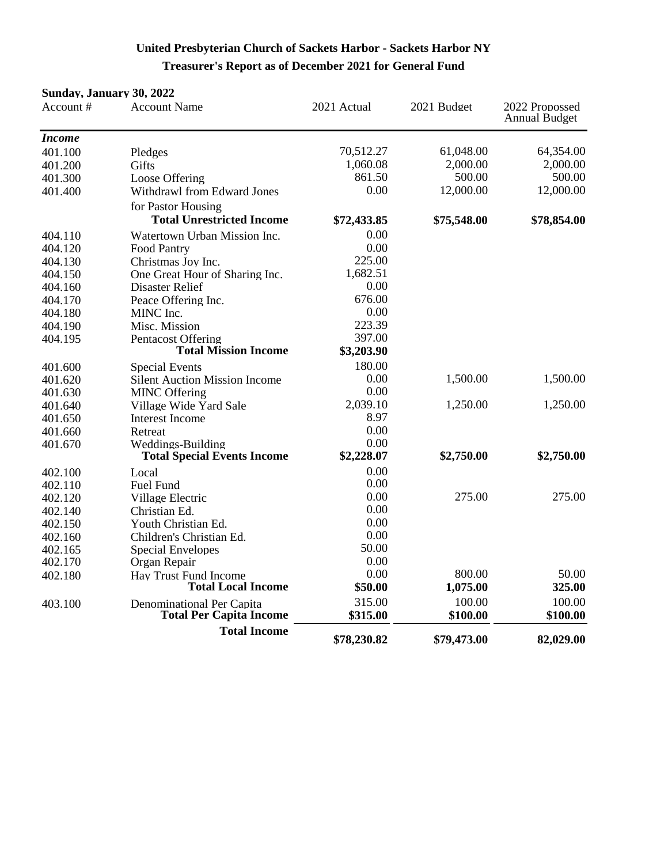# **United Presbyterian Church of Sackets Harbor - Sackets Harbor NY Treasurer's Report as of December 2021 for General Fund**

#### **Sunday, January 30, 2022**

| Account#      | <b>Account Name</b>                  | 2021 Actual | 2021 Budget | 2022 Propossed<br><b>Annual Budget</b> |
|---------------|--------------------------------------|-------------|-------------|----------------------------------------|
| <b>Income</b> |                                      |             |             |                                        |
| 401.100       | Pledges                              | 70,512.27   | 61,048.00   | 64,354.00                              |
| 401.200       | Gifts                                | 1,060.08    | 2,000.00    | 2,000.00                               |
| 401.300       | Loose Offering                       | 861.50      | 500.00      | 500.00                                 |
| 401.400       | Withdrawl from Edward Jones          | 0.00        | 12,000.00   | 12,000.00                              |
|               | for Pastor Housing                   |             |             |                                        |
|               | <b>Total Unrestricted Income</b>     | \$72,433.85 | \$75,548.00 | \$78,854.00                            |
| 404.110       | Watertown Urban Mission Inc.         | 0.00        |             |                                        |
| 404.120       | <b>Food Pantry</b>                   | 0.00        |             |                                        |
| 404.130       | Christmas Joy Inc.                   | 225.00      |             |                                        |
| 404.150       | One Great Hour of Sharing Inc.       | 1,682.51    |             |                                        |
| 404.160       | <b>Disaster Relief</b>               | 0.00        |             |                                        |
| 404.170       | Peace Offering Inc.                  | 676.00      |             |                                        |
| 404.180       | MINC Inc.                            | 0.00        |             |                                        |
| 404.190       | Misc. Mission                        | 223.39      |             |                                        |
| 404.195       | Pentacost Offering                   | 397.00      |             |                                        |
|               | <b>Total Mission Income</b>          | \$3,203.90  |             |                                        |
| 401.600       | <b>Special Events</b>                | 180.00      |             |                                        |
| 401.620       | <b>Silent Auction Mission Income</b> | 0.00        | 1,500.00    | 1,500.00                               |
| 401.630       | <b>MINC Offering</b>                 | 0.00        |             |                                        |
| 401.640       | Village Wide Yard Sale               | 2,039.10    | 1,250.00    | 1,250.00                               |
| 401.650       | Interest Income                      | 8.97        |             |                                        |
| 401.660       | Retreat                              | 0.00        |             |                                        |
| 401.670       | Weddings-Building                    | 0.00        |             |                                        |
|               | <b>Total Special Events Income</b>   | \$2,228.07  | \$2,750.00  | \$2,750.00                             |
| 402.100       | Local                                | 0.00        |             |                                        |
| 402.110       | Fuel Fund                            | 0.00        |             |                                        |
| 402.120       | Village Electric                     | 0.00        | 275.00      | 275.00                                 |
| 402.140       | Christian Ed.                        | 0.00        |             |                                        |
| 402.150       | Youth Christian Ed.                  | 0.00        |             |                                        |
| 402.160       | Children's Christian Ed.             | 0.00        |             |                                        |
| 402.165       | <b>Special Envelopes</b>             | 50.00       |             |                                        |
| 402.170       | Organ Repair                         | 0.00        |             |                                        |
| 402.180       | Hay Trust Fund Income                | 0.00        | 800.00      | 50.00                                  |
|               | <b>Total Local Income</b>            | \$50.00     | 1,075.00    | 325.00                                 |
| 403.100       | Denominational Per Capita            | 315.00      | 100.00      | 100.00                                 |
|               | <b>Total Per Capita Income</b>       | \$315.00    | \$100.00    | \$100.00                               |
|               | <b>Total Income</b>                  | \$78,230.82 | \$79,473.00 | 82,029.00                              |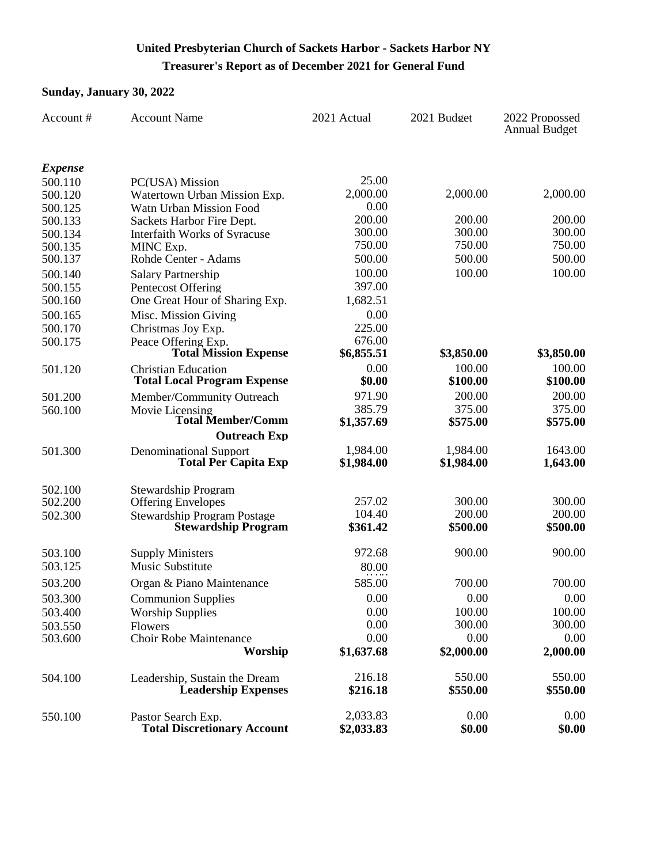# **Treasurer's Report as of December 2021 for General Fund United Presbyterian Church of Sackets Harbor - Sackets Harbor NY**

#### **Sunday, January 30, 2022**

| Account #      | <b>Account Name</b>                                          | 2021 Actual            | 2021 Budget        | 2022 Propossed<br><b>Annual Budget</b> |
|----------------|--------------------------------------------------------------|------------------------|--------------------|----------------------------------------|
| <i>Expense</i> |                                                              |                        |                    |                                        |
| 500.110        | PC(USA) Mission                                              | 25.00                  |                    |                                        |
| 500.120        | Watertown Urban Mission Exp.                                 | 2,000.00               | 2,000.00           | 2,000.00                               |
| 500.125        | Watn Urban Mission Food                                      | 0.00                   |                    |                                        |
| 500.133        | Sackets Harbor Fire Dept.                                    | 200.00                 | 200.00             | 200.00                                 |
| 500.134        | Interfaith Works of Syracuse                                 | 300.00                 | 300.00             | 300.00                                 |
| 500.135        | MINC Exp.                                                    | 750.00                 | 750.00             | 750.00                                 |
| 500.137        | Rohde Center - Adams                                         | 500.00                 | 500.00             | 500.00                                 |
| 500.140        | <b>Salary Partnership</b>                                    | 100.00                 | 100.00             | 100.00                                 |
| 500.155        | Pentecost Offering                                           | 397.00                 |                    |                                        |
| 500.160        | One Great Hour of Sharing Exp.                               | 1,682.51               |                    |                                        |
| 500.165        | Misc. Mission Giving                                         | 0.00                   |                    |                                        |
| 500.170        | Christmas Joy Exp.                                           | 225.00                 |                    |                                        |
| 500.175        | Peace Offering Exp.                                          | 676.00                 |                    |                                        |
|                | <b>Total Mission Expense</b>                                 | \$6,855.51             | \$3,850.00         | \$3,850.00                             |
| 501.120        | <b>Christian Education</b>                                   | 0.00<br>\$0.00         | 100.00<br>\$100.00 | 100.00                                 |
|                | <b>Total Local Program Expense</b>                           |                        |                    | \$100.00                               |
| 501.200        | Member/Community Outreach                                    | 971.90                 | 200.00             | 200.00                                 |
| 560.100        | Movie Licensing<br><b>Total Member/Comm</b>                  | 385.79<br>\$1,357.69   | 375.00             | 375.00<br>\$575.00                     |
|                | <b>Outreach Exp</b>                                          |                        | \$575.00           |                                        |
|                |                                                              |                        | 1,984.00           | 1643.00                                |
| 501.300        | <b>Denominational Support</b><br><b>Total Per Capita Exp</b> | 1,984.00<br>\$1,984.00 | \$1,984.00         | 1,643.00                               |
|                |                                                              |                        |                    |                                        |
| 502.100        | <b>Stewardship Program</b>                                   |                        |                    |                                        |
| 502.200        | <b>Offering Envelopes</b>                                    | 257.02                 | 300.00             | 300.00                                 |
| 502.300        | <b>Stewardship Program Postage</b>                           | 104.40                 | 200.00             | 200.00                                 |
|                | <b>Stewardship Program</b>                                   | \$361.42               | \$500.00           | \$500.00                               |
| 503.100        | <b>Supply Ministers</b>                                      | 972.68                 | 900.00             | 900.00                                 |
| 503.125        | Music Substitute                                             | 80.00                  |                    |                                        |
| 503.200        | Organ & Piano Maintenance                                    | 585.00                 | 700.00             | 700.00                                 |
|                |                                                              | 0.00                   |                    |                                        |
| 503.300        | <b>Communion Supplies</b>                                    |                        | 0.00               | 0.00                                   |
| 503.400        | <b>Worship Supplies</b>                                      | 0.00<br>0.00           | 100.00<br>300.00   | 100.00<br>300.00                       |
| 503.550        | Flowers<br>Choir Robe Maintenance                            | 0.00                   | 0.00               | 0.00                                   |
| 503.600        | Worship                                                      | \$1,637.68             | \$2,000.00         | 2,000.00                               |
|                |                                                              |                        |                    |                                        |
| 504.100        | Leadership, Sustain the Dream                                | 216.18                 | 550.00             | 550.00                                 |
|                | <b>Leadership Expenses</b>                                   | \$216.18               | \$550.00           | \$550.00                               |
|                |                                                              |                        |                    |                                        |
| 550.100        | Pastor Search Exp.                                           | 2,033.83               | 0.00               | 0.00                                   |
|                | <b>Total Discretionary Account</b>                           | \$2,033.83             | \$0.00             | \$0.00                                 |